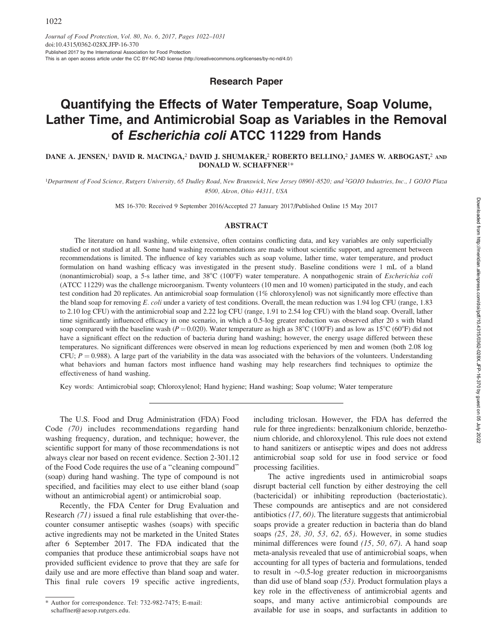Research Paper

# Quantifying the Effects of Water Temperature, Soap Volume, Lather Time, and Antimicrobial Soap as Variables in the Removal of Escherichia coli ATCC 11229 from Hands

DANE A. JENSEN,<sup>1</sup> DAVID R. MACINGA,<sup>2</sup> DAVID J. SHUMAKER,<sup>2</sup> ROBERTO BELLINO,<sup>2</sup> JAMES W. ARBOGAST,<sup>2</sup> AND DONALD W. SCHAFFNER1\*

<sup>1</sup>Department of Food Science, Rutgers University, 65 Dudley Road, New Brunswick, New Jersey 08901-8520; and <sup>2</sup>GOJO Industries, Inc., 1 GOJO Plaza #500, Akron, Ohio 44311, USA

MS 16-370: Received 9 September 2016/Accepted 27 January 2017/Published Online 15 May 2017

# ABSTRACT

The literature on hand washing, while extensive, often contains conflicting data, and key variables are only superficially studied or not studied at all. Some hand washing recommendations are made without scientific support, and agreement between recommendations is limited. The influence of key variables such as soap volume, lather time, water temperature, and product formulation on hand washing efficacy was investigated in the present study. Baseline conditions were 1 mL of a bland (nonantimicrobial) soap, a 5-s lather time, and 38°C (100°F) water temperature. A nonpathogenic strain of Escherichia coli (ATCC 11229) was the challenge microorganism. Twenty volunteers (10 men and 10 women) participated in the study, and each test condition had 20 replicates. An antimicrobial soap formulation (1% chloroxylenol) was not significantly more effective than the bland soap for removing E. coli under a variety of test conditions. Overall, the mean reduction was 1.94 log CFU (range, 1.83) to 2.10 log CFU) with the antimicrobial soap and 2.22 log CFU (range, 1.91 to 2.54 log CFU) with the bland soap. Overall, lather time significantly influenced efficacy in one scenario, in which a 0.5-log greater reduction was observed after 20 s with bland soap compared with the baseline wash ( $P = 0.020$ ). Water temperature as high as 38°C (100°F) and as low as 15°C (60°F) did not have a significant effect on the reduction of bacteria during hand washing; however, the energy usage differed between these temperatures. No significant differences were observed in mean log reductions experienced by men and women (both 2.08 log CFU;  $P = 0.988$ ). A large part of the variability in the data was associated with the behaviors of the volunteers. Understanding what behaviors and human factors most influence hand washing may help researchers find techniques to optimize the effectiveness of hand washing.

Key words: Antimicrobial soap; Chloroxylenol; Hand hygiene; Hand washing; Soap volume; Water temperature

The U.S. Food and Drug Administration (FDA) Food Code (70) includes recommendations regarding hand washing frequency, duration, and technique; however, the scientific support for many of those recommendations is not always clear nor based on recent evidence. Section 2-301.12 of the Food Code requires the use of a ''cleaning compound'' (soap) during hand washing. The type of compound is not specified, and facilities may elect to use either bland (soap without an antimicrobial agent) or antimicrobial soap.

Recently, the FDA Center for Drug Evaluation and Research (71) issued a final rule establishing that over-thecounter consumer antiseptic washes (soaps) with specific active ingredients may not be marketed in the United States after 6 September 2017. The FDA indicated that the companies that produce these antimicrobial soaps have not provided sufficient evidence to prove that they are safe for daily use and are more effective than bland soap and water. This final rule covers 19 specific active ingredients,

including triclosan. However, the FDA has deferred the rule for three ingredients: benzalkonium chloride, benzethonium chloride, and chloroxylenol. This rule does not extend to hand sanitizers or antiseptic wipes and does not address antimicrobial soap sold for use in food service or food processing facilities.

The active ingredients used in antimicrobial soaps disrupt bacterial cell function by either destroying the cell (bactericidal) or inhibiting reproduction (bacteriostatic). These compounds are antiseptics and are not considered antibiotics (17, 60). The literature suggests that antimicrobial soaps provide a greater reduction in bacteria than do bland soaps (25, 28, 30, 53, 62, 65). However, in some studies minimal differences were found (15, 50, 67). A hand soap meta-analysis revealed that use of antimicrobial soaps, when accounting for all types of bacteria and formulations, tended to result in  $\sim 0.5$ -log greater reduction in microorganisms than did use of bland soap  $(53)$ . Product formulation plays a key role in the effectiveness of antimicrobial agents and soaps, and many active antimicrobial compounds are available for use in soaps, and surfactants in addition to

<sup>\*</sup> Author for correspondence. Tel: 732-982-7475; E-mail: schaffner@aesop.rutgers.edu.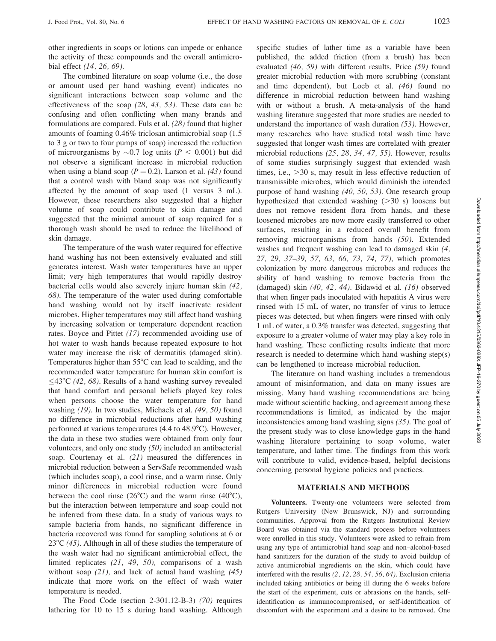other ingredients in soaps or lotions can impede or enhance the activity of these compounds and the overall antimicrobial effect (14, 26, 69).

The combined literature on soap volume (i.e., the dose or amount used per hand washing event) indicates no significant interactions between soap volume and the effectiveness of the soap (28, 43, 53). These data can be confusing and often conflicting when many brands and formulations are compared. Fuls et al. (28) found that higher amounts of foaming 0.46% triclosan antimicrobial soap (1.5 to 3 g or two to four pumps of soap) increased the reduction of microorganisms by  $\sim 0.7$  log units ( $P < 0.001$ ) but did not observe a significant increase in microbial reduction when using a bland soap ( $P = 0.2$ ). Larson et al. (43) found that a control wash with bland soap was not significantly affected by the amount of soap used (1 versus 3 mL). However, these researchers also suggested that a higher volume of soap could contribute to skin damage and suggested that the minimal amount of soap required for a thorough wash should be used to reduce the likelihood of skin damage.

The temperature of the wash water required for effective hand washing has not been extensively evaluated and still generates interest. Wash water temperatures have an upper limit; very high temperatures that would rapidly destroy bacterial cells would also severely injure human skin (42, 68). The temperature of the water used during comfortable hand washing would not by itself inactivate resident microbes. Higher temperatures may still affect hand washing by increasing solvation or temperature dependent reaction rates. Boyce and Pittet (17) recommended avoiding use of hot water to wash hands because repeated exposure to hot water may increase the risk of dermatitis (damaged skin). Temperatures higher than  $55^{\circ}$ C can lead to scalding, and the recommended water temperature for human skin comfort is  $\leq$ 43°C (42, 68). Results of a hand washing survey revealed that hand comfort and personal beliefs played key roles when persons choose the water temperature for hand washing (19). In two studies, Michaels et al. (49, 50) found no difference in microbial reductions after hand washing performed at various temperatures  $(4.4 \text{ to } 48.9^{\circ} \text{C})$ . However, the data in these two studies were obtained from only four volunteers, and only one study (50) included an antibacterial soap. Courtenay et al. (21) measured the differences in microbial reduction between a ServSafe recommended wash (which includes soap), a cool rinse, and a warm rinse. Only minor differences in microbial reduction were found between the cool rinse  $(26^{\circ}C)$  and the warm rinse  $(40^{\circ}C)$ , but the interaction between temperature and soap could not be inferred from these data. In a study of various ways to sample bacteria from hands, no significant difference in bacteria recovered was found for sampling solutions at 6 or  $23^{\circ}C$  (45). Although in all of these studies the temperature of the wash water had no significant antimicrobial effect, the limited replicates (21, 49, 50), comparisons of a wash without soap  $(21)$ , and lack of actual hand washing  $(45)$ indicate that more work on the effect of wash water temperature is needed.

The Food Code (section 2-301.12-B-3) (70) requires lathering for 10 to 15 s during hand washing. Although specific studies of lather time as a variable have been published, the added friction (from a brush) has been evaluated (46, 59) with different results. Price (59) found greater microbial reduction with more scrubbing (constant and time dependent), but Loeb et al. (46) found no difference in microbial reduction between hand washing with or without a brush. A meta-analysis of the hand washing literature suggested that more studies are needed to understand the importance of wash duration (53). However, many researches who have studied total wash time have suggested that longer wash times are correlated with greater microbial reductions (25, 28, 34, 47, 55). However, results of some studies surprisingly suggest that extended wash times, i.e.,  $>30$  s, may result in less effective reduction of transmissible microbes, which would diminish the intended purpose of hand washing (40, 50, 53). One research group hypothesized that extended washing  $(>30 \text{ s})$  loosens but does not remove resident flora from hands, and these loosened microbes are now more easily transferred to other surfaces, resulting in a reduced overall benefit from removing microorganisms from hands (50). Extended washes and frequent washing can lead to damaged skin (4, 27, 29, 37–39, 57, 63, 66, 73, 74, 77), which promotes colonization by more dangerous microbes and reduces the ability of hand washing to remove bacteria from the (damaged) skin (40, 42, 44). Bidawid et al. (16) observed that when finger pads inoculated with hepatitis A virus were rinsed with 15 mL of water, no transfer of virus to lettuce pieces was detected, but when fingers were rinsed with only 1 mL of water, a 0.3% transfer was detected, suggesting that exposure to a greater volume of water may play a key role in hand washing. These conflicting results indicate that more research is needed to determine which hand washing step(s) can be lengthened to increase microbial reduction.

The literature on hand washing includes a tremendous amount of misinformation, and data on many issues are missing. Many hand washing recommendations are being made without scientific backing, and agreement among these recommendations is limited, as indicated by the major inconsistencies among hand washing signs (35). The goal of the present study was to close knowledge gaps in the hand washing literature pertaining to soap volume, water temperature, and lather time. The findings from this work will contribute to valid, evidence-based, helpful decisions concerning personal hygiene policies and practices.

### MATERIALS AND METHODS

Volunteers. Twenty-one volunteers were selected from Rutgers University (New Brunswick, NJ) and surrounding communities. Approval from the Rutgers Institutional Review Board was obtained via the standard process before volunteers were enrolled in this study. Volunteers were asked to refrain from using any type of antimicrobial hand soap and non–alcohol-based hand sanitizers for the duration of the study to avoid buildup of active antimicrobial ingredients on the skin, which could have interfered with the results (2, 12, 28, 54, 56, 64). Exclusion criteria included taking antibiotics or being ill during the 6 weeks before the start of the experiment, cuts or abrasions on the hands, selfidentification as immunocompromised, or self-identification of discomfort with the experiment and a desire to be removed. One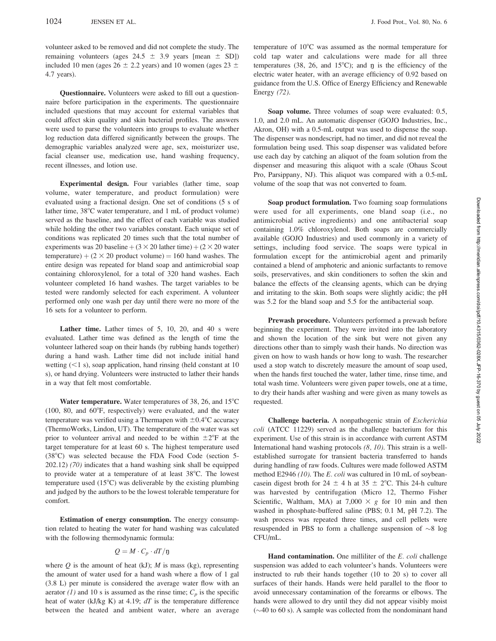volunteer asked to be removed and did not complete the study. The remaining volunteers (ages  $24.5 \pm 3.9$  years [mean  $\pm$  SD]) included 10 men (ages  $26 \pm 2.2$  years) and 10 women (ages  $23 \pm$ 4.7 years).

Questionnaire. Volunteers were asked to fill out a questionnaire before participation in the experiments. The questionnaire included questions that may account for external variables that could affect skin quality and skin bacterial profiles. The answers were used to parse the volunteers into groups to evaluate whether log reduction data differed significantly between the groups. The demographic variables analyzed were age, sex, moisturizer use, facial cleanser use, medication use, hand washing frequency, recent illnesses, and lotion use.

Experimental design. Four variables (lather time, soap volume, water temperature, and product formulation) were evaluated using a fractional design. One set of conditions (5 s of lather time,  $38^{\circ}$ C water temperature, and 1 mL of product volume) served as the baseline, and the effect of each variable was studied while holding the other two variables constant. Each unique set of conditions was replicated 20 times such that the total number of experiments was 20 baseline  $+(3 \times 20 \text{ latter time})+(2 \times 20 \text{ water})$ temperature)  $+(2 \times 20 \text{ product volume}) = 160 \text{ hand}$  washes. The entire design was repeated for bland soap and antimicrobial soap containing chloroxylenol, for a total of 320 hand washes. Each volunteer completed 16 hand washes. The target variables to be tested were randomly selected for each experiment. A volunteer performed only one wash per day until there were no more of the 16 sets for a volunteer to perform.

Lather time. Lather times of 5, 10, 20, and 40 s were evaluated. Lather time was defined as the length of time the volunteer lathered soap on their hands (by rubbing hands together) during a hand wash. Lather time did not include initial hand wetting  $(<1 s)$ , soap application, hand rinsing (held constant at 10) s), or hand drying. Volunteers were instructed to lather their hands in a way that felt most comfortable.

Water temperature. Water temperatures of 38, 26, and  $15^{\circ}$ C (100, 80, and  $60^{\circ}$ F, respectively) were evaluated, and the water temperature was verified using a Thermapen with  $\pm 0.4^{\circ}$ C accuracy (ThermoWorks, Lindon, UT). The temperature of the water was set prior to volunteer arrival and needed to be within  $\pm 2^{\circ}$ F at the target temperature for at least 60 s. The highest temperature used (38°C) was selected because the FDA Food Code (section 5-202.12) (70) indicates that a hand washing sink shall be equipped to provide water at a temperature of at least  $38^{\circ}$ C. The lowest temperature used  $(15^{\circ}C)$  was deliverable by the existing plumbing and judged by the authors to be the lowest tolerable temperature for comfort.

Estimation of energy consumption. The energy consumption related to heating the water for hand washing was calculated with the following thermodynamic formula:

$$
Q = M \cdot C_p \cdot dT / \mathfrak{y}
$$

where  $Q$  is the amount of heat (kJ);  $M$  is mass (kg), representing the amount of water used for a hand wash where a flow of 1 gal (3.8 L) per minute is considered the average water flow with an aerator (1) and 10 s is assumed as the rinse time;  $C_p$  is the specific heat of water (kJ/kg K) at 4.19;  $dT$  is the temperature difference between the heated and ambient water, where an average temperature of  $10^{\circ}$ C was assumed as the normal temperature for cold tap water and calculations were made for all three temperatures (38, 26, and 15 $^{\circ}$ C); and n is the efficiency of the electric water heater, with an average efficiency of 0.92 based on guidance from the U.S. Office of Energy Efficiency and Renewable Energy (72).

Soap volume. Three volumes of soap were evaluated: 0.5, 1.0, and 2.0 mL. An automatic dispenser (GOJO Industries, Inc., Akron, OH) with a 0.5-mL output was used to dispense the soap. The dispenser was nondescript, had no timer, and did not reveal the formulation being used. This soap dispenser was validated before use each day by catching an aliquot of the foam solution from the dispenser and measuring this aliquot with a scale (Ohaus Scout Pro, Parsippany, NJ). This aliquot was compared with a 0.5-mL volume of the soap that was not converted to foam.

Soap product formulation. Two foaming soap formulations were used for all experiments, one bland soap (i.e., no antimicrobial active ingredients) and one antibacterial soap containing 1.0% chloroxylenol. Both soaps are commercially available (GOJO Industries) and used commonly in a variety of settings, including food service. The soaps were typical in formulation except for the antimicrobial agent and primarily contained a blend of amphoteric and anionic surfactants to remove soils, preservatives, and skin conditioners to soften the skin and balance the effects of the cleansing agents, which can be drying and irritating to the skin. Both soaps were slightly acidic; the pH was 5.2 for the bland soap and 5.5 for the antibacterial soap.

Prewash procedure. Volunteers performed a prewash before beginning the experiment. They were invited into the laboratory and shown the location of the sink but were not given any directions other than to simply wash their hands. No direction was given on how to wash hands or how long to wash. The researcher used a stop watch to discretely measure the amount of soap used, when the hands first touched the water, lather time, rinse time, and total wash time. Volunteers were given paper towels, one at a time, to dry their hands after washing and were given as many towels as requested.

Challenge bacteria. A nonpathogenic strain of Escherichia coli (ATCC 11229) served as the challenge bacterium for this experiment. Use of this strain is in accordance with current ASTM International hand washing protocols (8, 10). This strain is a wellestablished surrogate for transient bacteria transferred to hands during handling of raw foods. Cultures were made followed ASTM method E2946 (10). The E. coli was cultured in 10 mL of soybeancasein digest broth for 24  $\pm$  4 h at 35  $\pm$  2°C. This 24-h culture was harvested by centrifugation (Micro 12, Thermo Fisher Scientific, Waltham, MA) at 7,000  $\times$  g for 10 min and then washed in phosphate-buffered saline (PBS; 0.1 M, pH 7.2). The wash process was repeated three times, and cell pellets were resuspended in PBS to form a challenge suspension of  $\sim8$  log CFU/mL.

Hand contamination. One milliliter of the E. coli challenge suspension was added to each volunteer's hands. Volunteers were instructed to rub their hands together (10 to 20 s) to cover all surfaces of their hands. Hands were held parallel to the floor to avoid unnecessary contamination of the forearms or elbows. The hands were allowed to dry until they did not appear visibly moist  $(\sim 40 \text{ to } 60 \text{ s})$ . A sample was collected from the nondominant hand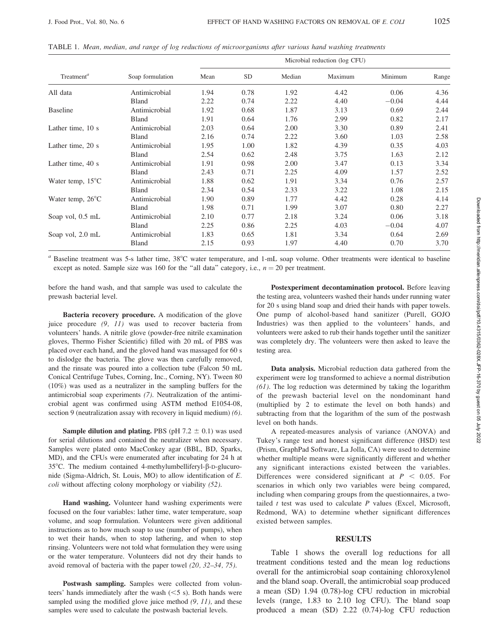|                            |                  | Microbial reduction (log CFU) |           |        |         |         |       |  |
|----------------------------|------------------|-------------------------------|-----------|--------|---------|---------|-------|--|
| Treatment <sup>a</sup>     | Soap formulation | Mean                          | <b>SD</b> | Median | Maximum | Minimum | Range |  |
| All data                   | Antimicrobial    | 1.94                          | 0.78      | 1.92   | 4.42    | 0.06    | 4.36  |  |
|                            | Bland            | 2.22                          | 0.74      | 2.22   | 4.40    | $-0.04$ | 4.44  |  |
| <b>Baseline</b>            | Antimicrobial    | 1.92                          | 0.68      | 1.87   | 3.13    | 0.69    | 2.44  |  |
|                            | Bland            | 1.91                          | 0.64      | 1.76   | 2.99    | 0.82    | 2.17  |  |
| Lather time, 10 s          | Antimicrobial    | 2.03                          | 0.64      | 2.00   | 3.30    | 0.89    | 2.41  |  |
|                            | Bland            | 2.16                          | 0.74      | 2.22   | 3.60    | 1.03    | 2.58  |  |
| Lather time, 20 s          | Antimicrobial    | 1.95                          | 1.00      | 1.82   | 4.39    | 0.35    | 4.03  |  |
|                            | Bland            | 2.54                          | 0.62      | 2.48   | 3.75    | 1.63    | 2.12  |  |
| Lather time, 40 s          | Antimicrobial    | 1.91                          | 0.98      | 2.00   | 3.47    | 0.13    | 3.34  |  |
|                            | Bland            | 2.43                          | 0.71      | 2.25   | 4.09    | 1.57    | 2.52  |  |
| Water temp, $15^{\circ}$ C | Antimicrobial    | 1.88                          | 0.62      | 1.91   | 3.34    | 0.76    | 2.57  |  |
|                            | Bland            | 2.34                          | 0.54      | 2.33   | 3.22    | 1.08    | 2.15  |  |
| Water temp, $26^{\circ}$ C | Antimicrobial    | 1.90                          | 0.89      | 1.77   | 4.42    | 0.28    | 4.14  |  |
|                            | Bland            | 1.98                          | 0.71      | 1.99   | 3.07    | 0.80    | 2.27  |  |
| Soap vol, 0.5 mL           | Antimicrobial    | 2.10                          | 0.77      | 2.18   | 3.24    | 0.06    | 3.18  |  |
|                            | Bland            | 2.25                          | 0.86      | 2.25   | 4.03    | $-0.04$ | 4.07  |  |
| Soap vol, 2.0 mL           | Antimicrobial    | 1.83                          | 0.65      | 1.81   | 3.34    | 0.64    | 2.69  |  |
|                            | Bland            | 2.15                          | 0.93      | 1.97   | 4.40    | 0.70    | 3.70  |  |

TABLE 1. Mean, median, and range of log reductions of microorganisms after various hand washing treatments

 $a$  Baseline treatment was 5-s lather time,  $38^{\circ}$ C water temperature, and 1-mL soap volume. Other treatments were identical to baseline except as noted. Sample size was 160 for the "all data" category, i.e.,  $n = 20$  per treatment.

before the hand wash, and that sample was used to calculate the prewash bacterial level.

Bacteria recovery procedure. A modification of the glove juice procedure  $(9, 11)$  was used to recover bacteria from volunteers' hands. A nitrile glove (powder-free nitrile examination gloves, Thermo Fisher Scientific) filled with 20 mL of PBS was placed over each hand, and the gloved hand was massaged for 60 s to dislodge the bacteria. The glove was then carefully removed, and the rinsate was poured into a collection tube (Falcon 50 mL Conical Centrifuge Tubes, Corning, Inc., Corning, NY). Tween 80 (10%) was used as a neutralizer in the sampling buffers for the antimicrobial soap experiments (7). Neutralization of the antimicrobial agent was confirmed using ASTM method E1054-08, section 9 (neutralization assay with recovery in liquid medium) (6).

**Sample dilution and plating.** PBS (pH  $7.2 \pm 0.1$ ) was used for serial dilutions and contained the neutralizer when necessary. Samples were plated onto MacConkey agar (BBL, BD, Sparks, MD), and the CFUs were enumerated after incubating for 24 h at 35 $^{\circ}$ C. The medium contained 4-methylumbelliferyl- $\beta$ -D-glucuronide (Sigma-Aldrich, St. Louis, MO) to allow identification of E. coli without affecting colony morphology or viability (52).

Hand washing. Volunteer hand washing experiments were focused on the four variables: lather time, water temperature, soap volume, and soap formulation. Volunteers were given additional instructions as to how much soap to use (number of pumps), when to wet their hands, when to stop lathering, and when to stop rinsing. Volunteers were not told what formulation they were using or the water temperature. Volunteers did not dry their hands to avoid removal of bacteria with the paper towel (20, 32–34, 75).

Postwash sampling. Samples were collected from volunteers' hands immediately after the wash  $(<5 s)$ . Both hands were sampled using the modified glove juice method  $(9, 11)$ , and these samples were used to calculate the postwash bacterial levels.

Postexperiment decontamination protocol. Before leaving the testing area, volunteers washed their hands under running water for 20 s using bland soap and dried their hands with paper towels. One pump of alcohol-based hand sanitizer (Purell, GOJO Industries) was then applied to the volunteers' hands, and volunteers were asked to rub their hands together until the sanitizer was completely dry. The volunteers were then asked to leave the testing area.

Data analysis. Microbial reduction data gathered from the experiment were log transformed to achieve a normal distribution  $(61)$ . The log reduction was determined by taking the logarithm of the prewash bacterial level on the nondominant hand (multiplied by 2 to estimate the level on both hands) and subtracting from that the logarithm of the sum of the postwash level on both hands.

A repeated-measures analysis of variance (ANOVA) and Tukey's range test and honest significant difference (HSD) test (Prism, GraphPad Software, La Jolla, CA) were used to determine whether multiple means were significantly different and whether any significant interactions existed between the variables. Differences were considered significant at  $P < 0.05$ . For scenarios in which only two variables were being compared, including when comparing groups from the questionnaires, a twotailed  $t$  test was used to calculate  $P$  values (Excel, Microsoft, Redmond, WA) to determine whether significant differences existed between samples.

## **RESULTS**

Table 1 shows the overall log reductions for all treatment conditions tested and the mean log reductions overall for the antimicrobial soap containing chloroxylenol and the bland soap. Overall, the antimicrobial soap produced a mean (SD) 1.94 (0.78)-log CFU reduction in microbial levels (range, 1.83 to 2.10 log CFU). The bland soap produced a mean (SD) 2.22 (0.74)-log CFU reduction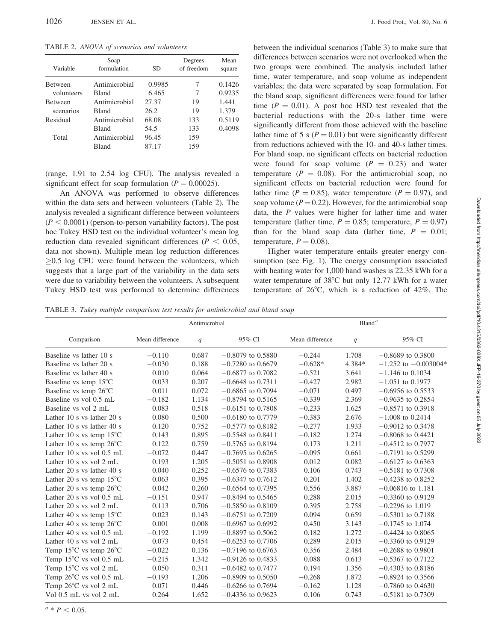TABLE 2. ANOVA of scenarios and volunteers

| Variable       | Soap<br>formulation | <b>SD</b> | Degrees<br>of freedom | Mean<br>square |
|----------------|---------------------|-----------|-----------------------|----------------|
| <b>Between</b> | Antimicrobial       | 0.9985    | 7                     | 0.1426         |
| volunteers     | Bland               | 6.465     | 7                     | 0.9235         |
| <b>Between</b> | Antimicrobial       | 27.37     | 19                    | 1.441          |
| scenarios      | <b>Bland</b>        | 26.2      | 19                    | 1.379          |
| Residual       | Antimicrobial       | 68.08     | 133                   | 0.5119         |
|                | <b>Bland</b>        | 54.5      | 133                   | 0.4098         |
| Total          | Antimicrobial       | 96.45     | 159                   |                |
|                | Bland               | 87.17     | 159                   |                |

(range, 1.91 to 2.54 log CFU). The analysis revealed a significant effect for soap formulation ( $P = 0.00025$ ).

An ANOVA was performed to observe differences within the data sets and between volunteers (Table 2). The analysis revealed a significant difference between volunteers  $(P < 0.0001)$  (person-to-person variability factors). The post hoc Tukey HSD test on the individual volunteer's mean log reduction data revealed significant differences ( $P < 0.05$ , data not shown). Multiple mean log reduction differences  $>0.5$  log CFU were found between the volunteers, which suggests that a large part of the variability in the data sets were due to variability between the volunteers. A subsequent Tukey HSD test was performed to determine differences between the individual scenarios (Table 3) to make sure that differences between scenarios were not overlooked when the two groups were combined. The analysis included lather time, water temperature, and soap volume as independent variables; the data were separated by soap formulation. For the bland soap, significant differences were found for lather time ( $P = 0.01$ ). A post hoc HSD test revealed that the bacterial reductions with the 20-s lather time were significantly different from those achieved with the baseline lather time of 5 s ( $P = 0.01$ ) but were significantly different from reductions achieved with the 10- and 40-s lather times. For bland soap, no significant effects on bacterial reduction were found for soap volume  $(P = 0.23)$  and water temperature ( $P = 0.08$ ). For the antimicrobial soap, no significant effects on bacterial reduction were found for lather time ( $P = 0.85$ ), water temperature ( $P = 0.97$ ), and soap volume ( $P = 0.22$ ). However, for the antimicrobial soap data, the P values were higher for lather time and water temperature (lather time,  $P = 0.85$ ; temperature,  $P = 0.97$ ) than for the bland soap data (lather time,  $P = 0.01$ ; temperature,  $P = 0.08$ .

Higher water temperature entails greater energy consumption (see Fig. 1). The energy consumption associated with heating water for 1,000 hand washes is 22.35 kWh for a water temperature of  $38^{\circ}$ C but only 12.77 kWh for a water temperature of  $26^{\circ}$ C, which is a reduction of  $42\%$ . The

TABLE 3. Tukey multiple comparison test results for antimicrobial and bland soap

|                                            |                 | Antimicrobial |                     | Bland <sup>a</sup> |        |                          |  |
|--------------------------------------------|-----------------|---------------|---------------------|--------------------|--------|--------------------------|--|
| Comparison                                 | Mean difference | q             | 95% CI              | Mean difference    | q      | 95% CI                   |  |
| Baseline vs lather 10 s                    | $-0.110$        | 0.687         | $-0.8079$ to 0.5880 | $-0.244$           | 1.708  | $-0.8689$ to 0.3800      |  |
| Baseline vs lather 20 s                    | $-0.030$        | 0.188         | $-0.7280$ to 0.6679 | $-0.628*$          | 4.384* | $-1.252$ to $-0.003004*$ |  |
| Baseline vs lather 40 s                    | 0.010           | 0.064         | $-0.6877$ to 0.7082 | $-0.521$           | 3.641  | $-1.146$ to 0.1034       |  |
| Baseline vs temp $15^{\circ}$ C            | 0.033           | 0.207         | $-0.6648$ to 0.7311 | $-0.427$           | 2.982  | $-1.051$ to 0.1977       |  |
| Baseline vs temp 26°C                      | 0.011           | 0.072         | $-0.6865$ to 0.7094 | $-0.071$           | 0.497  | $-0.6956$ to 0.5533      |  |
| Baseline vs vol 0.5 mL                     | $-0.182$        | 1.134         | $-0.8794$ to 0.5165 | $-0.339$           | 2.369  | $-0.9635$ to 0.2854      |  |
| Baseline vs vol 2 mL                       | 0.083           | 0.518         | $-0.6151$ to 0.7808 | $-0.233$           | 1.625  | $-0.8571$ to 0.3918      |  |
| Lather 10 s vs lather 20 s                 | 0.080           | 0.500         | $-0.6180$ to 0.7779 | $-0.383$           | 2.676  | $-1.008$ to 0.2414       |  |
| Lather 10 s vs lather 40 s                 | 0.120           | 0.752         | $-0.5777$ to 0.8182 | $-0.277$           | 1.933  | $-0.9012$ to 0.3478      |  |
| Lather 10 s vs temp $15^{\circ}$ C         | 0.143           | 0.895         | $-0.5548$ to 0.8411 | $-0.182$           | 1.274  | $-0.8068$ to 0.4421      |  |
| Lather 10 s vs temp $26^{\circ}$ C         | 0.122           | 0.759         | $-0.5765$ to 0.8194 | 0.173              | 1.211  | $-0.4512$ to 0.7977      |  |
| Lather 10 s vs vol $0.5$ mL                | $-0.072$        | 0.447         | $-0.7695$ to 0.6265 | $-0.095$           | 0.661  | $-0.7191$ to 0.5299      |  |
| Lather 10 s vs vol $2 mL$                  | 0.193           | 1.205         | $-0.5051$ to 0.8908 | 0.012              | 0.082  | $-0.6127$ to 0.6363      |  |
| Lather 20 s vs lather 40 s                 | 0.040           | 0.252         | $-0.6576$ to 0.7383 | 0.106              | 0.743  | $-0.5181$ to 0.7308      |  |
| Lather 20 s vs temp $15^{\circ}$ C         | 0.063           | 0.395         | $-0.6347$ to 0.7612 | 0.201              | 1.402  | $-0.4238$ to 0.8252      |  |
| Lather 20 s vs temp $26^{\circ}$ C         | 0.042           | 0.260         | $-0.6564$ to 0.7395 | 0.556              | 3.887  | $-0.06816$ to 1.181      |  |
| Lather 20 s vs vol $0.5$ mL                | $-0.151$        | 0.947         | $-0.8494$ to 0.5465 | 0.288              | 2.015  | $-0.3360$ to 0.9129      |  |
| Lather 20 s vs vol 2 mL                    | 0.113           | 0.706         | $-0.5850$ to 0.8109 | 0.395              | 2.758  | $-0.2296$ to 1.019       |  |
| Lather 40 s vs temp $15^{\circ}$ C         | 0.023           | 0.143         | $-0.6751$ to 0.7209 | 0.094              | 0.659  | $-0.5301$ to 0.7188      |  |
| Lather 40 s vs temp $26^{\circ}$ C         | 0.001           | 0.008         | $-0.6967$ to 0.6992 | 0.450              | 3.143  | $-0.1745$ to 1.074       |  |
| Lather 40 s vs vol $0.5$ mL                | $-0.192$        | 1.199         | $-0.8897$ to 0.5062 | 0.182              | 1.272  | $-0.4424$ to 0.8065      |  |
| Lather 40 s vs vol $2 mL$                  | 0.073           | 0.454         | $-0.6253$ to 0.7706 | 0.289              | 2.015  | $-0.3360$ to 0.9129      |  |
| Temp $15^{\circ}$ C vs temp $26^{\circ}$ C | $-0.022$        | 0.136         | $-0.7196$ to 0.6763 | 0.356              | 2.484  | $-0.2688$ to 0.9801      |  |
| Temp 15°C vs vol 0.5 mL                    | $-0.215$        | 1.342         | $-0.9126$ to 0.4833 | 0.088              | 0.613  | $-0.5367$ to 0.7122      |  |
| Temp 15°C vs vol 2 mL                      | 0.050           | 0.311         | $-0.6482$ to 0.7477 | 0.194              | 1.356  | $-0.4303$ to 0.8186      |  |
| Temp $26^{\circ}$ C vs vol 0.5 mL          | $-0.193$        | 1.206         | $-0.8909$ to 0.5050 | $-0.268$           | 1.872  | $-0.8924$ to 0.3566      |  |
| Temp 26°C vs vol 2 mL                      | 0.071           | 0.446         | $-0.6266$ to 0.7694 | $-0.162$           | 1.128  | $-0.7860$ to 0.4630      |  |
| Vol 0.5 mL vs vol 2 mL                     | 0.264           | 1.652         | $-0.4336$ to 0.9623 | 0.106              | 0.743  | $-0.5181$ to 0.7309      |  |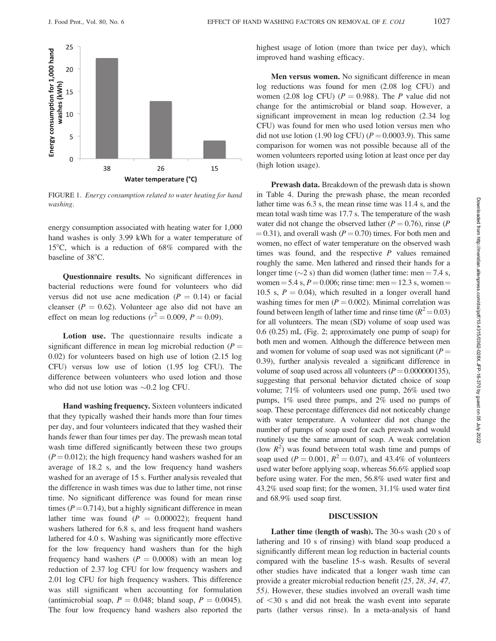

FIGURE 1. Energy consumption related to water heating for hand washing.

energy consumption associated with heating water for 1,000 hand washes is only 3.99 kWh for a water temperature of 15<sup>o</sup>C, which is a reduction of  $68\%$  compared with the baseline of 38°C.

Questionnaire results. No significant differences in bacterial reductions were found for volunteers who did versus did not use acne medication ( $P = 0.14$ ) or facial cleanser ( $P = 0.62$ ). Volunteer age also did not have an effect on mean log reductions ( $r^2 = 0.009$ ,  $P = 0.09$ ).

Lotion use. The questionnaire results indicate a significant difference in mean log microbial reduction ( $P =$ 0.02) for volunteers based on high use of lotion (2.15 log CFU) versus low use of lotion (1.95 log CFU). The difference between volunteers who used lotion and those who did not use lotion was  $\sim 0.2$  log CFU.

Hand washing frequency. Sixteen volunteers indicated that they typically washed their hands more than four times per day, and four volunteers indicated that they washed their hands fewer than four times per day. The prewash mean total wash time differed significantly between these two groups  $(P = 0.012)$ ; the high frequency hand washers washed for an average of 18.2 s, and the low frequency hand washers washed for an average of 15 s. Further analysis revealed that the difference in wash times was due to lather time, not rinse time. No significant difference was found for mean rinse times ( $P = 0.714$ ), but a highly significant difference in mean lather time was found  $(P = 0.000022)$ ; frequent hand washers lathered for 6.8 s, and less frequent hand washers lathered for 4.0 s. Washing was significantly more effective for the low frequency hand washers than for the high frequency hand washers  $(P = 0.0008)$  with an mean log reduction of 2.37 log CFU for low frequency washers and 2.01 log CFU for high frequency washers. This difference was still significant when accounting for formulation (antimicrobial soap,  $P = 0.048$ ; bland soap,  $P = 0.0045$ ). The four low frequency hand washers also reported the highest usage of lotion (more than twice per day), which improved hand washing efficacy.

Men versus women. No significant difference in mean log reductions was found for men (2.08 log CFU) and women (2.08 log CFU) ( $P = 0.988$ ). The P value did not change for the antimicrobial or bland soap. However, a significant improvement in mean log reduction (2.34 log CFU) was found for men who used lotion versus men who did not use lotion (1.90 log CFU) ( $P = 0.0003.9$ ). This same comparison for women was not possible because all of the women volunteers reported using lotion at least once per day (high lotion usage).

Prewash data. Breakdown of the prewash data is shown in Table 4. During the prewash phase, the mean recorded lather time was 6.3 s, the mean rinse time was 11.4 s, and the mean total wash time was 17.7 s. The temperature of the wash water did not change the observed lather ( $P = 0.76$ ), rinse (P  $(0.31)$ , and overall wash ( $P = 0.70$ ) times. For both men and women, no effect of water temperature on the observed wash times was found, and the respective  $P$  values remained roughly the same. Men lathered and rinsed their hands for a longer time ( $\sim$ 2 s) than did women (lather time: men = 7.4 s, women =  $5.4$  s,  $P = 0.006$ ; rinse time: men = 12.3 s, women = 10.5 s,  $P = 0.04$ ), which resulted in a longer overall hand washing times for men  $(P = 0.002)$ . Minimal correlation was found between length of lather time and rinse time  $(R^2 = 0.03)$ for all volunteers. The mean (SD) volume of soap used was 0.6 (0.25) mL (Fig. 2; approximately one pump of soap) for both men and women. Although the difference between men and women for volume of soap used was not significant ( $P =$ 0.39), further analysis revealed a significant difference in volume of soap used across all volunteers ( $P = 0.000000135$ ), suggesting that personal behavior dictated choice of soap volume; 71% of volunteers used one pump, 26% used two pumps, 1% used three pumps, and 2% used no pumps of soap. These percentage differences did not noticeably change with water temperature. A volunteer did not change the number of pumps of soap used for each prewash and would routinely use the same amount of soap. A weak correlation (low  $R^2$ ) was found between total wash time and pumps of soap used ( $P = 0.001$ ,  $R^2 = 0.07$ ), and 43.4% of volunteers used water before applying soap, whereas 56.6% applied soap before using water. For the men, 56.8% used water first and 43.2% used soap first; for the women, 31.1% used water first and 68.9% used soap first.

### DISCUSSION

Lather time (length of wash). The 30-s wash (20 s of lathering and 10 s of rinsing) with bland soap produced a significantly different mean log reduction in bacterial counts compared with the baseline 15-s wash. Results of several other studies have indicated that a longer wash time can provide a greater microbial reduction benefit (25, 28, 34, 47, 55). However, these studies involved an overall wash time of  $\leq$ 30 s and did not break the wash event into separate parts (lather versus rinse). In a meta-analysis of hand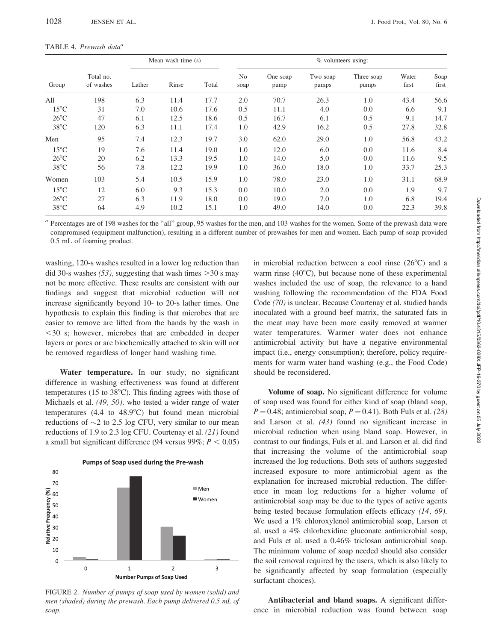| TABLE 4. Prewash data <sup>a</sup> |  |
|------------------------------------|--|
|                                    |  |

| Group          |                        | Mean wash time (s) |       |       | $%$ volunteers using:  |                  |                   |                     |                |               |
|----------------|------------------------|--------------------|-------|-------|------------------------|------------------|-------------------|---------------------|----------------|---------------|
|                | Total no.<br>of washes | Lather             | Rinse | Total | N <sub>o</sub><br>soap | One soap<br>pump | Two soap<br>pumps | Three soap<br>pumps | Water<br>first | Soap<br>first |
| All            | 198                    | 6.3                | 11.4  | 17.7  | 2.0                    | 70.7             | 26.3              | 1.0                 | 43.4           | 56.6          |
| $15^{\circ}$ C | 31                     | 7.0                | 10.6  | 17.6  | 0.5                    | 11.1             | 4.0               | 0.0                 | 6.6            | 9.1           |
| $26^{\circ}$ C | 47                     | 6.1                | 12.5  | 18.6  | 0.5                    | 16.7             | 6.1               | 0.5                 | 9.1            | 14.7          |
| $38^{\circ}$ C | 120                    | 6.3                | 11.1  | 17.4  | 1.0                    | 42.9             | 16.2              | 0.5                 | 27.8           | 32.8          |
| Men            | 95                     | 7.4                | 12.3  | 19.7  | 3.0                    | 62.0             | 29.0              | 1.0                 | 56.8           | 43.2          |
| $15^{\circ}$ C | 19                     | 7.6                | 11.4  | 19.0  | 1.0                    | 12.0             | 6.0               | 0.0                 | 11.6           | 8.4           |
| $26^{\circ}$ C | 20                     | 6.2                | 13.3  | 19.5  | 1.0                    | 14.0             | 5.0               | 0.0                 | 11.6           | 9.5           |
| $38^{\circ}$ C | 56                     | 7.8                | 12.2  | 19.9  | 1.0                    | 36.0             | 18.0              | 1.0                 | 33.7           | 25.3          |
| Women          | 103                    | 5.4                | 10.5  | 15.9  | 1.0                    | 78.0             | 23.0              | 1.0                 | 31.1           | 68.9          |
| $15^{\circ}$ C | 12                     | 6.0                | 9.3   | 15.3  | 0.0                    | 10.0             | 2.0               | 0.0                 | 1.9            | 9.7           |
| $26^{\circ}$ C | 27                     | 6.3                | 11.9  | 18.0  | 0.0                    | 19.0             | 7.0               | 1.0                 | 6.8            | 19.4          |
| $38^{\circ}$ C | 64                     | 4.9                | 10.2  | 15.1  | 1.0                    | 49.0             | 14.0              | 0.0                 | 22.3           | 39.8          |

<sup>a</sup> Percentages are of 198 washes for the "all" group, 95 washes for the men, and 103 washes for the women. Some of the prewash data were compromised (equipment malfunction), resulting in a different number of prewashes for men and women. Each pump of soap provided 0.5 mL of foaming product.

washing, 120-s washes resulted in a lower log reduction than did 30-s washes (53), suggesting that wash times  $>$ 30 s may not be more effective. These results are consistent with our findings and suggest that microbial reduction will not increase significantly beyond 10- to 20-s lather times. One hypothesis to explain this finding is that microbes that are easier to remove are lifted from the hands by the wash in  $<$ 30 s; however, microbes that are embedded in deeper layers or pores or are biochemically attached to skin will not be removed regardless of longer hand washing time.

Water temperature. In our study, no significant difference in washing effectiveness was found at different temperatures (15 to  $38^{\circ}$ C). This finding agrees with those of Michaels et al. (49, 50), who tested a wider range of water temperatures  $(4.4 \text{ to } 48.9^{\circ}\text{C})$  but found mean microbial reductions of  $\sim$ 2 to 2.5 log CFU, very similar to our mean reductions of 1.9 to 2.3 log CFU. Courtenay et al. (21) found a small but significant difference (94 versus 99%;  $P < 0.05$ )



FIGURE 2. Number of pumps of soap used by women (solid) and men (shaded) during the prewash. Each pump delivered 0.5 mL of soap.

in microbial reduction between a cool rinse  $(26^{\circ}C)$  and a warm rinse  $(40^{\circ}$ C), but because none of these experimental washes included the use of soap, the relevance to a hand washing following the recommendation of the FDA Food Code (70) is unclear. Because Courtenay et al. studied hands inoculated with a ground beef matrix, the saturated fats in the meat may have been more easily removed at warmer water temperatures. Warmer water does not enhance antimicrobial activity but have a negative environmental impact (i.e., energy consumption); therefore, policy requirements for warm water hand washing (e.g., the Food Code) should be reconsidered.

Volume of soap. No significant difference for volume of soap used was found for either kind of soap (bland soap,  $P = 0.48$ ; antimicrobial soap,  $P = 0.41$ ). Both Fuls et al. (28) and Larson et al. (43) found no significant increase in microbial reduction when using bland soap. However, in contrast to our findings, Fuls et al. and Larson et al. did find that increasing the volume of the antimicrobial soap increased the log reductions. Both sets of authors suggested increased exposure to more antimicrobial agent as the explanation for increased microbial reduction. The difference in mean log reductions for a higher volume of antimicrobial soap may be due to the types of active agents being tested because formulation effects efficacy (14, 69). We used a 1% chloroxylenol antimicrobial soap, Larson et al. used a 4% chlorhexidine gluconate antimicrobial soap, and Fuls et al. used a 0.46% triclosan antimicrobial soap. The minimum volume of soap needed should also consider the soil removal required by the users, which is also likely to be significantly affected by soap formulation (especially surfactant choices).

Antibacterial and bland soaps. A significant difference in microbial reduction was found between soap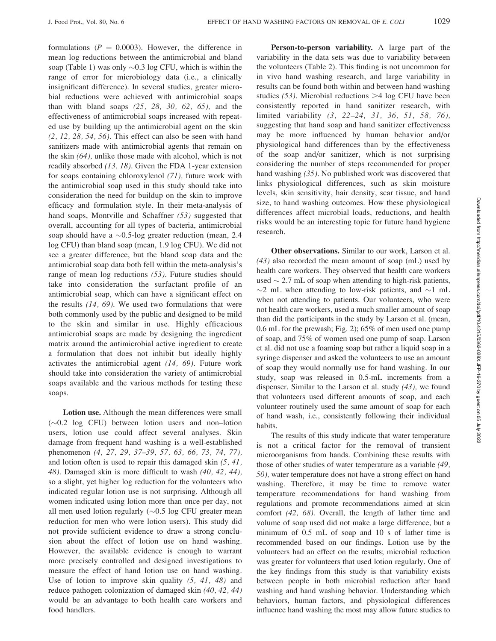formulations ( $P = 0.0003$ ). However, the difference in mean log reductions between the antimicrobial and bland soap (Table 1) was only  $\sim 0.3$  log CFU, which is within the range of error for microbiology data (i.e., a clinically insignificant difference). In several studies, greater microbial reductions were achieved with antimicrobial soaps than with bland soaps  $(25, 28, 30, 62, 65)$ , and the effectiveness of antimicrobial soaps increased with repeated use by building up the antimicrobial agent on the skin  $(2, 12, 28, 54, 56)$ . This effect can also be seen with hand sanitizers made with antimicrobial agents that remain on the skin (64), unlike those made with alcohol, which is not readily absorbed (13, 18). Given the FDA 1-year extension for soaps containing chloroxylenol (71), future work with the antimicrobial soap used in this study should take into consideration the need for buildup on the skin to improve efficacy and formulation style. In their meta-analysis of hand soaps, Montville and Schaffner (53) suggested that overall, accounting for all types of bacteria, antimicrobial soap should have a  $\sim 0.5$ -log greater reduction (mean, 2.4 log CFU) than bland soap (mean, 1.9 log CFU). We did not see a greater difference, but the bland soap data and the antimicrobial soap data both fell within the meta-analysis's range of mean log reductions (53). Future studies should take into consideration the surfactant profile of an antimicrobial soap, which can have a significant effect on the results  $(14, 69)$ . We used two formulations that were both commonly used by the public and designed to be mild to the skin and similar in use. Highly efficacious antimicrobial soaps are made by designing the ingredient matrix around the antimicrobial active ingredient to create a formulation that does not inhibit but ideally highly activates the antimicrobial agent (14, 69). Future work should take into consideration the variety of antimicrobial soaps available and the various methods for testing these soaps.

Lotion use. Although the mean differences were small  $(\sim 0.2$  log CFU) between lotion users and non-lotion users, lotion use could affect several analyses. Skin damage from frequent hand washing is a well-established phenomenon (4, 27, 29, 37–39, 57, 63, 66, 73, 74, 77), and lotion often is used to repair this damaged skin (5, 41, 48). Damaged skin is more difficult to wash (40, 42, 44), so a slight, yet higher log reduction for the volunteers who indicated regular lotion use is not surprising. Although all women indicated using lotion more than once per day, not all men used lotion regularly  $(\sim 0.5 \log CFU)$  greater mean reduction for men who were lotion users). This study did not provide sufficient evidence to draw a strong conclusion about the effect of lotion use on hand washing. However, the available evidence is enough to warrant more precisely controlled and designed investigations to measure the effect of hand lotion use on hand washing. Use of lotion to improve skin quality (5, 41, 48) and reduce pathogen colonization of damaged skin (40, 42, 44) would be an advantage to both health care workers and food handlers.

Person-to-person variability. A large part of the variability in the data sets was due to variability between the volunteers (Table 2). This finding is not uncommon for in vivo hand washing research, and large variability in results can be found both within and between hand washing studies  $(53)$ . Microbial reductions  $>4$  log CFU have been consistently reported in hand sanitizer research, with limited variability (3, 22–24, 31, 36, 51, 58, 76), suggesting that hand soap and hand sanitizer effectiveness may be more influenced by human behavior and/or physiological hand differences than by the effectiveness of the soap and/or sanitizer, which is not surprising considering the number of steps recommended for proper hand washing (35). No published work was discovered that links physiological differences, such as skin moisture levels, skin sensitivity, hair density, scar tissue, and hand size, to hand washing outcomes. How these physiological differences affect microbial loads, reductions, and health risks would be an interesting topic for future hand hygiene research.

Other observations. Similar to our work, Larson et al.  $(43)$  also recorded the mean amount of soap (mL) used by health care workers. They observed that health care workers used  $\sim$  2.7 mL of soap when attending to high-risk patients,  $\sim$ 2 mL when attending to low-risk patients, and  $\sim$ 1 mL when not attending to patients. Our volunteers, who were not health care workers, used a much smaller amount of soap than did the participants in the study by Larson et al. (mean, 0.6 mL for the prewash; Fig. 2); 65% of men used one pump of soap, and 75% of women used one pump of soap. Larson et al. did not use a foaming soap but rather a liquid soap in a syringe dispenser and asked the volunteers to use an amount of soap they would normally use for hand washing. In our study, soap was released in 0.5-mL increments from a dispenser. Similar to the Larson et al. study (43), we found that volunteers used different amounts of soap, and each volunteer routinely used the same amount of soap for each of hand wash, i.e., consistently following their individual habits.

The results of this study indicate that water temperature is not a critical factor for the removal of transient microorganisms from hands. Combining these results with those of other studies of water temperature as a variable (49, 50), water temperature does not have a strong effect on hand washing. Therefore, it may be time to remove water temperature recommendations for hand washing from regulations and promote recommendations aimed at skin comfort (42, 68). Overall, the length of lather time and volume of soap used did not make a large difference, but a minimum of 0.5 mL of soap and 10 s of lather time is recommended based on our findings. Lotion use by the volunteers had an effect on the results; microbial reduction was greater for volunteers that used lotion regularly. One of the key findings from this study is that variability exists between people in both microbial reduction after hand washing and hand washing behavior. Understanding which behaviors, human factors, and physiological differences influence hand washing the most may allow future studies to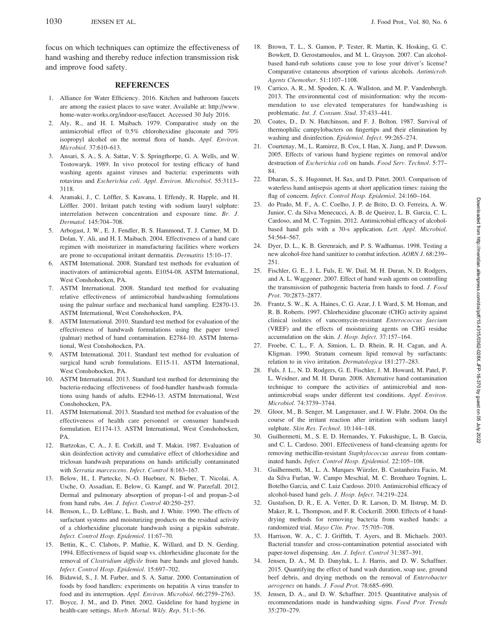focus on which techniques can optimize the effectiveness of hand washing and thereby reduce infection transmission risk and improve food safety.

# **REFERENCES**

- 1. Alliance for Water Efficiency. 2016. Kitchen and bathroom faucets are among the easiest places to save water. Available at: http://www. home-water-works.org/indoor-use/faucet. Accessed 30 July 2016.
- 2. Aly, R., and H. I. Maibach. 1979. Comparative study on the antimicrobial effect of 0.5% chlorohexidine gluconate and 70% isopropyl alcohol on the normal flora of hands. Appl. Environ. Microbiol. 37:610–613.
- 3. Ansari, S. A., S. A. Sattar, V. S. Springthorpe, G. A. Wells, and W. Tostowaryk. 1989. In vivo protocol for testing efficacy of hand washing agents against viruses and bacteria: experiments with rotavirus and Escherichia coli. Appl. Environ. Microbiol. 55:3113– 3118.
- 4. Aramaki, J., C. Löffler, S. Kawana, I. Effendy, R. Happle, and H. Löffler. 2001. Irritant patch testing with sodium lauryl sulphate: interrelation between concentration and exposure time. Br. J. Dermatol. 145:704–708.
- 5. Arbogast, J. W., E. J. Fendler, B. S. Hammond, T. J. Cartner, M. D. Dolan, Y. Ali, and H. I. Maibach. 2004. Effectiveness of a hand care regimen with moisturizer in manufacturing facilities where workers are prone to occupational irritant dermatitis. Dermatitis 15:10–17.
- 6. ASTM International. 2008. Standard test methods for evaluation of inactivators of antimicrobial agents. E1054-08. ASTM International, West Conshohocken, PA.
- 7. ASTM International. 2008. Standard test method for evaluating relative effectiveness of antimicrobial handwashing formulations using the palmar surface and mechanical hand sampling. E2870-13. ASTM International, West Conshohocken, PA.
- 8. ASTM International. 2010. Standard test method for evaluation of the effectiveness of handwash formulations using the paper towel (palmar) method of hand contamination. E2784-10. ASTM International, West Conshohocken, PA.
- 9. ASTM International. 2011. Standard test method for evaluation of surgical hand scrub formulations. E115-11. ASTM International, West Conshohocken, PA.
- 10. ASTM International. 2013. Standard test method for determining the bacteria-reducing effectiveness of food-handler handwash formulations using hands of adults. E2946-13. ASTM International, West Conshohocken, PA.
- 11. ASTM International. 2013. Standard test method for evaluation of the effectiveness of health care personnel or consumer handwash formulation. E1174-13. ASTM International, West Conshohocken, PA.
- 12. Bartzokas, C. A., J. E. Corkill, and T. Makin. 1987. Evaluation of skin disinfection activity and cumulative effect of chlorhexidine and triclosan handwash preparations on hands artificially contaminated with Serratia marcescens. Infect. Control 8:163–167.
- 13. Below, H., I. Partecke, N.-O. Huebner, N. Bieber, T. Nicolai, A. Usche, O. Assadian, E. Below, G. Kampf, and W. Parzefall. 2012. Dermal and pulmonary absorption of propan-1-ol and propan-2-ol from hand rubs. Am. J. Infect. Control 40:250–257.
- 14. Benson, L., D. LeBlanc, L. Bush, and J. White. 1990. The effects of surfactant systems and moisturizing products on the residual activity of a chlorhexidine gluconate handwash using a pigskin substrate. Infect. Control Hosp. Epidemiol. 11:67–70.
- 15. Bettin, K., C. Clabots, P. Mathie, K. Willard, and D. N. Gerding. 1994. Effectiveness of liquid soap vs. chlorhexidine gluconate for the removal of Clostridium difficile from bare hands and gloved hands. Infect. Control Hosp. Epidemiol. 15:697–702.
- 16. Bidawid, S., J. M. Farber, and S. A. Sattar. 2000. Contamination of foods by food handlers: experiments on hepatitis A virus transfer to food and its interruption. Appl. Environ. Microbiol. 66:2759–2763.
- 17. Boyce, J. M., and D. Pittet. 2002. Guideline for hand hygiene in health-care settings. Morb. Mortal. Wkly. Rep. 51:1-56.
- 18. Brown, T. L., S. Gamon, P. Tester, R. Martin, K. Hosking, G. C. Bowkett, D. Gerostamoulos, and M. L. Grayson. 2007. Can alcoholbased hand-rub solutions cause you to lose your driver's license? Comparative cutaneous absorption of various alcohols. Antimicrob. Agents Chemother. 51:1107–1108.
- 19. Carrico, A. R., M. Spoden, K. A. Wallston, and M. P. Vandenbergh. 2013. The environmental cost of misinformation: why the recommendation to use elevated temperatures for handwashing is problematic. Int. J. Consum. Stud. 37:433–441.
- 20. Coates, D., D. N. Hutchinson, and F. J. Bolton. 1987. Survival of thermophilic campylobacters on fingertips and their elimination by washing and disinfection. Epidemiol. Infect. 99:265–274.
- 21. Courtenay, M., L. Ramirez, B. Cox, I. Han, X. Jiang, and P. Dawson. 2005. Effects of various hand hygiene regimes on removal and/or destruction of Escherichia coli on hands. Food Serv. Technol. 5:77– 84.
- 22. Dharan, S., S. Hugonnet, H. Sax, and D. Pittet. 2003. Comparison of waterless hand antisepsis agents at short application times: raising the flag of concern. Infect. Control Hosp. Epidemiol. 24:160–164.
- 23. do Prado, M. F., A. C. Coelho, J. P. de Brito, D. O. Ferreira, A. W. Junior, C. da Silva Menecucci, A. B. de Queiroz, L. B. Garcia, C. L. Cardoso, and M. C. Tognim. 2012. Antimicrobial efficacy of alcoholbased hand gels with a 30-s application. Lett. Appl. Microbiol. 54:564–567.
- 24. Dyer, D. L., K. B. Gerenraich, and P. S. Wadhamas. 1998. Testing a new alcohol-free hand sanitizer to combat infection. AORN J. 68:239– 251.
- 25. Fischler, G. E., J. L. Fuls, E. W. Dail, M. H. Duran, N. D. Rodgers, and A. L. Waggoner. 2007. Effect of hand wash agents on controlling the transmission of pathogenic bacteria from hands to food. J. Food Prot. 70:2873–2877.
- 26. Frantz, S. W., K. A. Haines, C. G. Azar, J. I. Ward, S. M. Homan, and R. B. Roberts. 1997. Chlorhexidine gluconate (CHG) activity against clinical isolates of vancomycin-resistant Enterococcus faecium (VREF) and the effects of moisturizing agents on CHG residue accumulation on the skin. J. Hosp. Infect. 37:157–164.
- 27. Froebe, C. L., F. A. Simion, L. D. Rhein, R. H. Cagan, and A. Kligman. 1990. Stratum corneum lipid removal by surfactants: relation to in vivo irritation. Dermatologica 181:277–283.
- 28. Fuls, J. L., N. D. Rodgers, G. E. Fischler, J. M. Howard, M. Patel, P. L. Weidner, and M. H. Duran. 2008. Alternative hand contamination technique to compare the activities of antimicrobial and nonantimicrobial soaps under different test conditions. Appl. Environ. Microbiol. 74:3739–3744.
- 29. Gloor, M., B. Senger, M. Langenauer, and J. W. Fluhr. 2004. On the course of the irritant reaction after irritation with sodium lauryl sulphate. Skin Res. Technol. 10:144–148.
- 30. Guilhermetti, M., S. E. D. Hernandes, Y. Fukushigue, L. B. Garcia, and C. L. Cardoso. 2001. Effectiveness of hand-cleansing agents for removing methicillin-resistant Staphylococcus aureus from contaminated hands. Infect. Control Hosp. Epidemiol. 22:105–108.
- 31. Guilhermetti, M., L. A. Marques Wiirzler, B. Castanheira Facio, M. da Silva Furlan, W. Campo Meschial, M. C. Bronharo Tognim, L. Botelho Garcia, and C. Luiz Cardoso. 2010. Antimicrobial efficacy of alcohol-based hand gels. J. Hosp. Infect. 74:219–224.
- 32. Gustafson, D. R., E. A. Vetter, D. R. Larson, D. M. Ilstrup, M. D. Maker, R. L. Thompson, and F. R. Cockerill. 2000. Effects of 4 handdrying methods for removing bacteria from washed hands: a randomized trial. Mayo Clin. Proc. 75:705–708.
- 33. Harrison, W. A., C. J. Griffith, T. Ayers, and B. Michaels. 2003. Bacterial transfer and cross-contamination potential associated with paper-towel dispensing. Am. J. Infect. Control 31:387–391.
- 34. Jensen, D. A., M. D. Danyluk, L. J. Harris, and D. W. Schaffner. 2015. Quantifying the effect of hand wash duration, soap use, ground beef debris, and drying methods on the removal of Enterobacter aerogenes on hands. J. Food Prot. 78:685–690.
- 35. Jensen, D. A., and D. W. Schaffner. 2015. Quantitative analysis of recommendations made in handwashing signs. Food Prot. Trends 35:270–279.